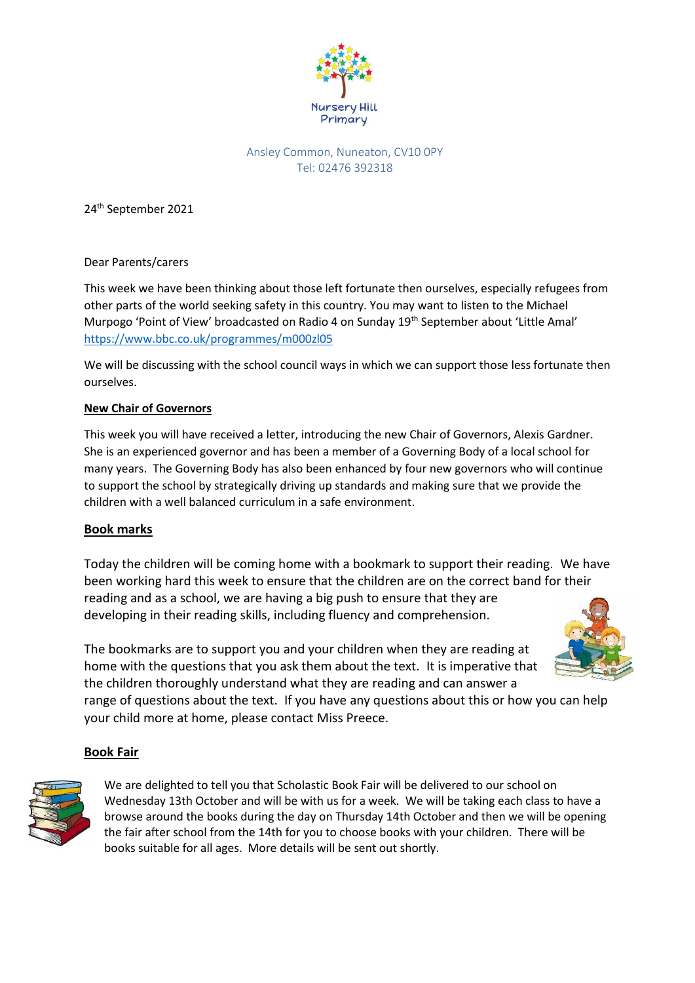

# Ansley Common, Nuneaton, CV10 0PY Tel: 02476 392318

24th September 2021

Dear Parents/carers

This week we have been thinking about those left fortunate then ourselves, especially refugees from other parts of the world seeking safety in this country. You may want to listen to the Michael Murpogo 'Point of View' broadcasted on Radio 4 on Sunday 19<sup>th</sup> September about 'Little Amal' <https://www.bbc.co.uk/programmes/m000zl05>

We will be discussing with the school council ways in which we can support those less fortunate then ourselves.

# **New Chair of Governors**

This week you will have received a letter, introducing the new Chair of Governors, Alexis Gardner. She is an experienced governor and has been a member of a Governing Body of a local school for many years. The Governing Body has also been enhanced by four new governors who will continue to support the school by strategically driving up standards and making sure that we provide the children with a well balanced curriculum in a safe environment.

# **Book marks**

Today the children will be coming home with a bookmark to support their reading. We have been working hard this week to ensure that the children are on the correct band for their reading and as a school, we are having a big push to ensure that they are developing in their reading skills, including fluency and comprehension.

The bookmarks are to support you and your children when they are reading at home with the questions that you ask them about the text. It is imperative that the children thoroughly understand what they are reading and can answer a

range of questions about the text. If you have any questions about this or how you can help your child more at home, please contact Miss Preece.

# **Book Fair**



We are delighted to tell you that Scholastic Book Fair will be delivered to our school on Wednesday 13th October and will be with us for a week. We will be taking each class to have a browse around the books during the day on Thursday 14th October and then we will be opening the fair after school from the 14th for you to choose books with your children. There will be books suitable for all ages. More details will be sent out shortly.